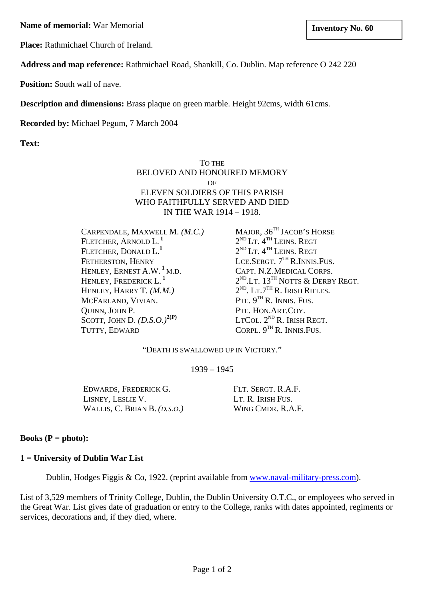**Name of memorial:** War Memorial **Inventory No. 60 linux linux linux linux linux linux linux linux linux linux linux linux linux linux linux linux linux linux linux linux linux l** 

**Place:** Rathmichael Church of Ireland.

**Address and map reference:** Rathmichael Road, Shankill, Co. Dublin. Map reference O 242 220

**Position:** South wall of nave.

**Description and dimensions:** Brass plaque on green marble. Height 92cms, width 61cms.

**Recorded by:** Michael Pegum, 7 March 2004

**Text:**

TO THE BELOVED AND HONOURED MEMORY  $\Omega$ F ELEVEN SOLDIERS OF THIS PARISH WHO FAITHFULLY SERVED AND DIED IN THE WAR 1914 – 1918.

CARPENDALE, MAXWELL M. *(M.C.)* MAJOR, 36<sup>TH</sup> JACOB'S HORSE FLETCHER, ARNOLD L.<sup>1</sup> 2<sup>ND</sup> LT. 4<sup>TH</sup> LEINS. REGT FLETCHER, DONALD L.**<sup>1</sup>** FETHERSTON, HENRY LCE.SERGT. 7<sup>TH</sup> R.INNIS.FUS. HENLEY, ERNEST A.W. **1** HENLEY, FREDERICK L. **<sup>1</sup>** HENLEY, HARRY T.  $(M.M.)$  2<sup>ND</sup>. LT.7<sup>TH</sup> R. IRISH RIFLES. MCFARLAND, VIVIAN.  $PTE. 9<sup>TH</sup> R. INNIS. FUS.$ QUINN, JOHN P. PTE. HON.ART.COY.<br>SCOTT, JOHN D.  $(D.S.O.)^{2(P)}$  LTCOL.  $2^{ND}$  R. IRISH REGT. SCOTT, JOHN D.  $(D.S.O.)^{2(P)}$ TUTTY, EDWARD CORPL,  $9^{TH}$  R. INNIS.FUS.

 $2^{ND}$  LT.  $4^{TH}$  LEINS. REGT CAPT. N.Z.MEDICAL CORPS.  $2^{ND}$ .Lt.  $13^{TH}$ NOTTS & DERBY REGT.

"DEATH IS SWALLOWED UP IN VICTORY."

1939 – 1945

EDWARDS, FREDERICK G. FLT. SERGT. R.A.F. LISNEY, LESLIE V. LT. R. IRISH FUS. WALLIS, C. BRIAN B. *(D.S.O.)* WING CMDR. R.A.F.

## **Books (P = photo):**

## **1 = University of Dublin War List**

Dublin, Hodges Figgis & Co, 1922. (reprint available from [www.naval-military-press.com\)](http://www.naval-military-press.com/).

List of 3,529 members of Trinity College, Dublin, the Dublin University O.T.C., or employees who served in the Great War. List gives date of graduation or entry to the College, ranks with dates appointed, regiments or services, decorations and, if they died, where.